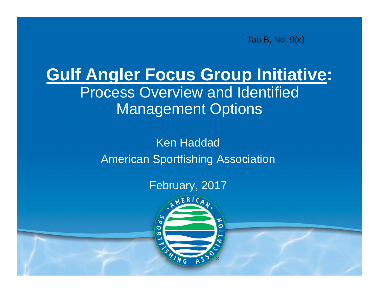Tab B, No. 9(c)

### **Gulf Angler Focus Group Initiative:** Process Overview and Identified Management Options

Ken HaddadAmerican Sportfishing Association

### February, 2017

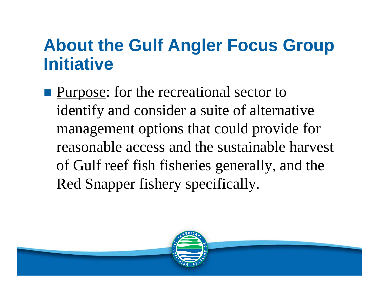**Purpose:** for the recreational sector to identify and consider a suite of alternative management options that could provide for reasonable access and the sustainable harvest of Gulf reef fish fisheries generally, and the Red Snapper fishery specifically.

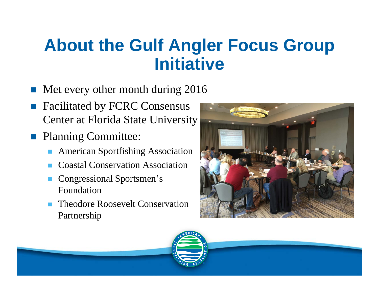- F Met every other month during 2016
- Г Facilitated by FCRC Consensus Center at Florida State University
- **Planning Committee:** 
	- American Sportfishing Association
	- Coastal Conservation Association
	- Г Congressional Sportsmen's Foundation
	- Theodore Roosevelt Conservation Partnership



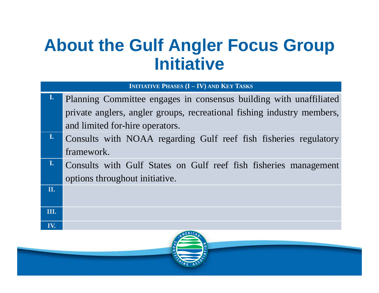**INITIATIVE PHASES (I – IV) AND KEYTASKS**

- **I.** Planning Committee engages in consensus building with unaffiliated private anglers, angler groups, recreational fishing industry members, and limited for-hire operators.
- **I.** Consults with NOAA regarding Gulf reef fish fisheries regulatory framework.
- **I.** Consults with Gulf States on Gulf reef fish fisheries managemen<sup>t</sup> options throughout initiative.

**II.**

**III.**

**IV.**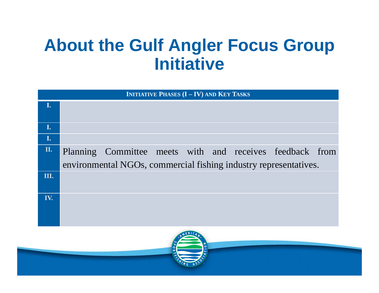| <b>INITIATIVE PHASES (I - IV) AND KEY TASKS</b> |                                                                  |  |  |  |  |  |  |  |  |  |
|-------------------------------------------------|------------------------------------------------------------------|--|--|--|--|--|--|--|--|--|
| I.                                              |                                                                  |  |  |  |  |  |  |  |  |  |
|                                                 |                                                                  |  |  |  |  |  |  |  |  |  |
| I.                                              |                                                                  |  |  |  |  |  |  |  |  |  |
| I.                                              |                                                                  |  |  |  |  |  |  |  |  |  |
| II.                                             | Planning Committee meets with and receives feedback from         |  |  |  |  |  |  |  |  |  |
|                                                 | environmental NGOs, commercial fishing industry representatives. |  |  |  |  |  |  |  |  |  |
| Ш.                                              |                                                                  |  |  |  |  |  |  |  |  |  |
| IV.                                             |                                                                  |  |  |  |  |  |  |  |  |  |
|                                                 |                                                                  |  |  |  |  |  |  |  |  |  |
|                                                 |                                                                  |  |  |  |  |  |  |  |  |  |
|                                                 |                                                                  |  |  |  |  |  |  |  |  |  |
|                                                 |                                                                  |  |  |  |  |  |  |  |  |  |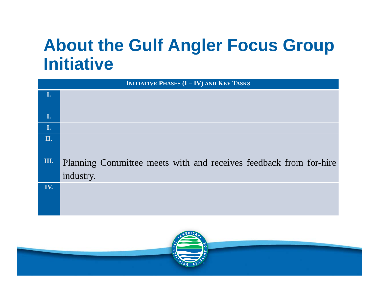| <b>INITIATIVE PHASES (I - IV) AND KEY TASKS</b> |                                                                                |  |  |  |  |  |  |  |
|-------------------------------------------------|--------------------------------------------------------------------------------|--|--|--|--|--|--|--|
|                                                 |                                                                                |  |  |  |  |  |  |  |
| I.                                              |                                                                                |  |  |  |  |  |  |  |
| $\mathbf{I}$ .                                  |                                                                                |  |  |  |  |  |  |  |
| II.                                             |                                                                                |  |  |  |  |  |  |  |
| Ш.                                              | Planning Committee meets with and receives feedback from for-hire<br>industry. |  |  |  |  |  |  |  |
| IV.                                             |                                                                                |  |  |  |  |  |  |  |

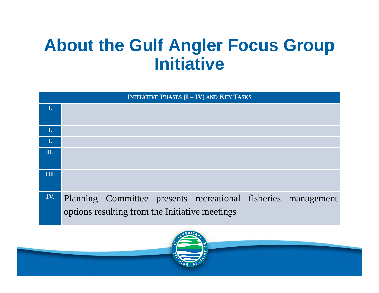| <b>INITIATIVE PHASES (I - IV) AND KEY TASKS</b> |                                                                                                                 |  |  |  |  |  |  |  |  |  |
|-------------------------------------------------|-----------------------------------------------------------------------------------------------------------------|--|--|--|--|--|--|--|--|--|
| I.                                              |                                                                                                                 |  |  |  |  |  |  |  |  |  |
| I.                                              |                                                                                                                 |  |  |  |  |  |  |  |  |  |
| I.                                              |                                                                                                                 |  |  |  |  |  |  |  |  |  |
| II.                                             |                                                                                                                 |  |  |  |  |  |  |  |  |  |
| III.                                            |                                                                                                                 |  |  |  |  |  |  |  |  |  |
| IV.                                             | Planning Committee presents recreational fisheries management<br>options resulting from the Initiative meetings |  |  |  |  |  |  |  |  |  |

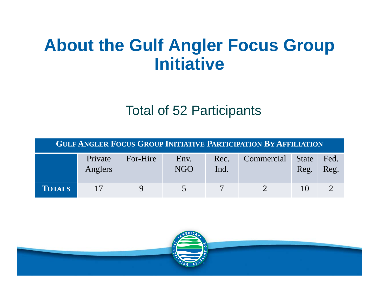### Total of 52 Participants

| <b>GULF ANGLER FOCUS GROUP INITIATIVE PARTICIPATION BY AFFILIATION</b> |                    |          |             |              |            |                      |              |  |  |  |  |
|------------------------------------------------------------------------|--------------------|----------|-------------|--------------|------------|----------------------|--------------|--|--|--|--|
|                                                                        | Private<br>Anglers | For-Hire | Env.<br>NGO | Rec.<br>Ind. | Commercial | <b>State</b><br>Reg. | Fed.<br>Reg. |  |  |  |  |
| <b>TOTALS</b>                                                          | 17                 |          |             |              |            | 10                   |              |  |  |  |  |

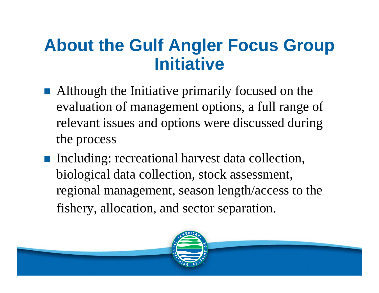- Although the Initiative primarily focused on the evaluation of management options, a full range of relevant issues and options were discussed during the process
- Including: recreational harvest data collection, biological data collection, stock assessment, regional management, season length/access to the fishery, allocation, and sector separation.

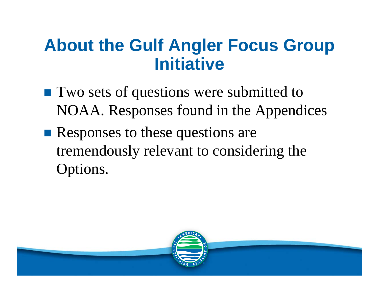- **Two sets of questions were submitted to** NOAA. Responses found in the Appendices
- **Responses to these questions are** tremendously relevant to considering the Options.

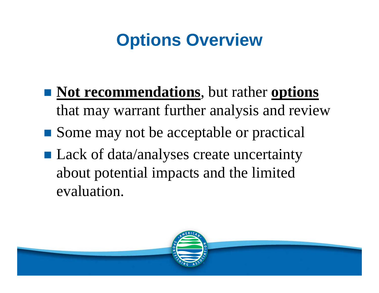# **Options Overview**

- **Not recommendations**, but rather **options** that may warrant further analysis and review
- Some may not be acceptable or practical
- Lack of data/analyses create uncertainty about potential impacts and the limited evaluation.

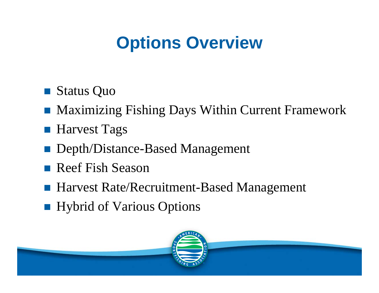# **Options Overview**

- $\mathcal{L}^{\text{max}}_{\text{max}}$ Status Quo
- $\frac{1}{2}$ Maximizing Fishing Days Within Current Framework
- Harvest Tags
- Depth/Distance-Based Management
- $\frac{1}{2}$ Reef Fish Season
- Harvest Rate/Recruitment-Based Management
- **Hybrid of Various Options**

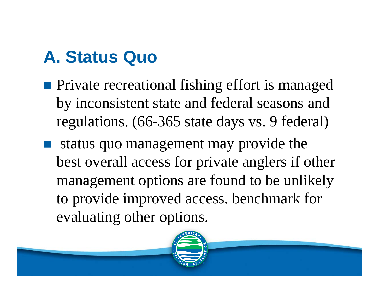## **A. Status Quo**

- **Private recreational fishing effort is managed** by inconsistent state and federal seasons and regulations. (66-365 state days vs. 9 federal)
- status quo management may provide the best overall access for private anglers if other management options are found to be unlikely to provide improved access. benchmark for evaluating other options.

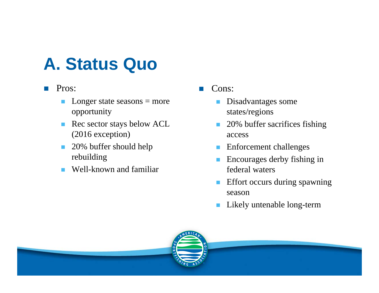### **A. Status Quo**

#### F. Pros:

- $\mathcal{C}^{\mathcal{A}}$ Longer state seasons  $=$  more opportunity
- $\mathcal{C}^{\mathcal{A}}$  Rec sector stays below ACL (2016 exception)
- $\mathcal{C}^{\mathcal{A}}$  20% buffer should help rebuilding
- Well-known and familiar

#### F. Cons:

- $\mathcal{L}_{\mathcal{A}}$  Disadvantages some states/regions
- $\mathcal{L}_{\mathcal{A}}$  20% buffer sacrifices fishing access
- **Enforcement challenges**
- $\mathcal{L}_{\mathcal{A}}$  Encourages derby fishing in federal waters
- $\mathcal{L}_{\mathcal{A}}$  Effort occurs during spawning season
- $\mathbb{R}^n$ Likely untenable long-term

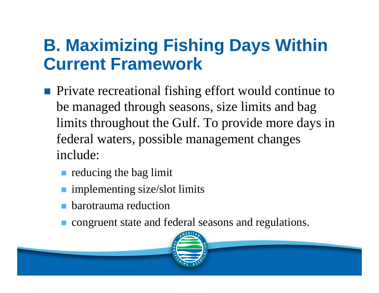## **B. Maximizing Fishing Days Within Current Framework**

- **Private recreational fishing effort would continue to** be managed through seasons, size limits and bag limits throughout the Gulf. To provide more days in federal waters, possible management changes include:
	- **reducing the bag limit**
	- **n** implementing size/slot limits
	- barotrauma reduction
	- congruent state and federal seasons and regulations.

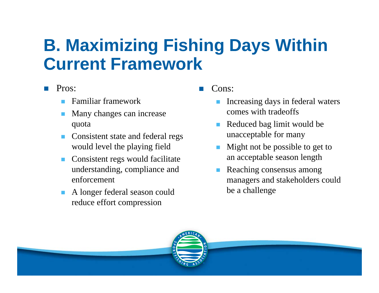## **B. Maximizing Fishing Days Within Current Framework**

#### F. Pros:

- Familiar framework
- Many changes can increase quota
- Consistent state and federal regs would level the playing field
- Consistent regs would facilitate understanding, compliance and enforcement
- in 1999.<br>Ngjarje A longer federal season could reduce effort compression

F. Cons:

- Increasing days in federal waters comes with tradeoffs
- Reduced bag limit would be unacceptable for many
- Might not be possible to get to an acceptable season length
- Reaching consensus among managers and stakeholders could be a challenge

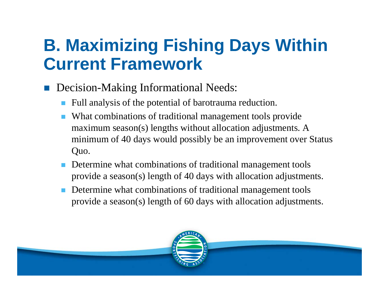### **B. Maximizing Fishing Days Within Current Framework**

#### T. Decision-Making Informational Needs:

- Г Full analysis of the potential of barotrauma reduction.
- F What combinations of traditional management tools provide maximum season(s) lengths without allocation adjustments. A minimum of 40 days would possibly be an improvement over Status Quo.
- Г Determine what combinations of traditional management tools provide a season(s) length of 40 days with allocation adjustments.
- Г Determine what combinations of traditional management tools provide a season(s) length of 60 days with allocation adjustments.

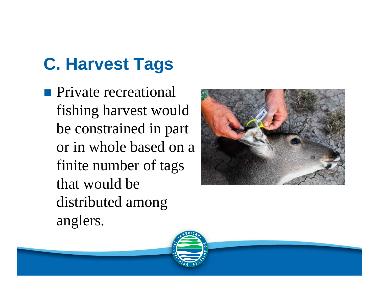# **C. Harvest Tags**

**Private recreational** fishing harvest would be constrained in part or in whole based on a finite number of tags that would be distributed among anglers.



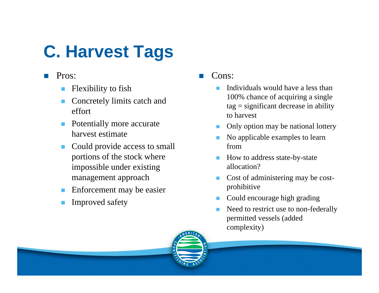## **C. Harvest Tags**

- F. Pros:
	- Flexibility to fish
	- in 1999.<br>Ngjarje Concretely limits catch and effort
	- $\overline{\phantom{a}}$  Potentially more accurate harvest estimate
	- Could provide access to small portions of the stock where impossible under existing management approach
	- Enforcement may be easier
	- Improved safety

F. Cons:

- × Individuals would have a less than 100% chance of acquiring a single  $tag = significant decrease in ability$ to harvest
- **T** Only option may be national lottery
- ▉ No applicable examples to learn from
- a. How to address state-by-state allocation?
- $\mathcal{L}_{\mathrm{max}}$  Cost of administering may be costprohibitive
- **College** Could encourage high grading
- × Need to restrict use to non-federally permitted vessels (added complexity)

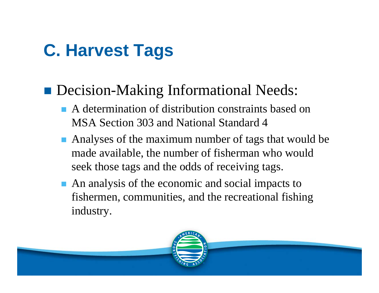### **C. Harvest Tags**

### **Decision-Making Informational Needs:**

- A determination of distribution constraints based on MSA Section 303 and National Standard 4
- Analyses of the maximum number of tags that would be made available, the number of fisherman who would seek those tags and the odds of receiving tags.
- An analysis of the economic and social impacts to fishermen, communities, and the recreational fishing industry.

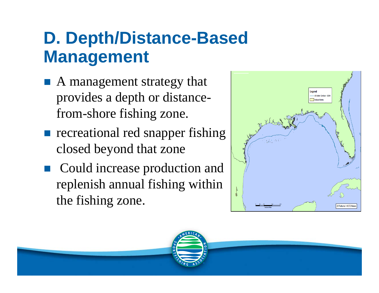## **D. Depth/Distance-Based Management**

- $\frac{1}{2}$  A management strategy that provides a depth or distancefrom-shore fishing zone.
- **recreational red snapper fishing** closed beyond that zone
- $\frac{1}{2}$  Could increase production and replenish annual fishing within the fishing zone.



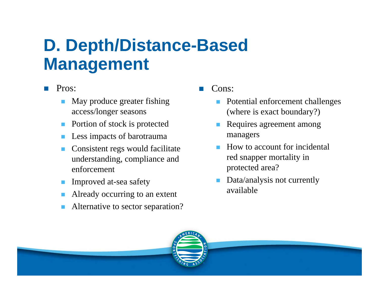### **D. Depth/Distance-Based Management**

#### F. Pros:

- May produce greater fishing access/longer seasons
- in 1999.<br>Ngjarje Portion of stock is protected
- Less impacts of barotrauma
- L. Consistent regs would facilitate understanding, compliance and enforcement
- ٦ Improved at-sea safety
- ٦ Already occurring to an extent
- ٦ Alternative to sector separation?

#### F. Cons:

- ٦ Potential enforcement challenges (where is exact boundary?)
- Requires agreement among managers
- ٦ How to account for incidental red snapper mortality in protected area?
- ing a Data/analysis not currently available

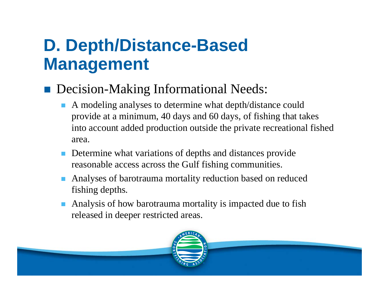## **D. Depth/Distance-Based Management**

#### $\frac{1}{2}$ Decision-Making Informational Needs:

- F A modeling analyses to determine what depth/distance could provide at a minimum, 40 days and 60 days, of fishing that takes into account added production outside the private recreational fished area.
- Г Determine what variations of depths and distances provide reasonable access across the Gulf fishing communities.
- Г Analyses of barotrauma mortality reduction based on reduced fishing depths.
- Г Analysis of how barotrauma mortality is impacted due to fish released in deeper restricted areas.

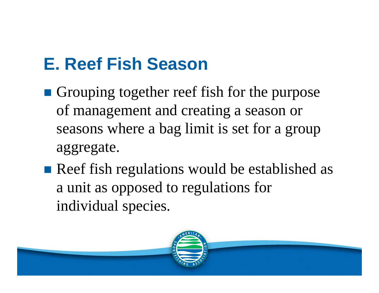# **E. Reef Fish Season**

- **Grouping together reef fish for the purpose** of management and creating a season or seasons where a bag limit is set for a group aggregate.
- Reef fish regulations would be established as a unit as opposed to regulations for individual species.

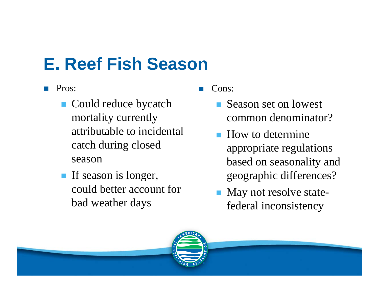# **E. Reef Fish Season**

- F. Pros:
	- Could reduce bycatch mortality currently attributable to incidental catch during closed season
	- If season is longer, could better account for bad weather days
- F. Cons:
	- Season set on lowest common denominator?
	- **How to determine** appropriate regulations based on seasonality and geographic differences?
	- May not resolve statefederal inconsistency

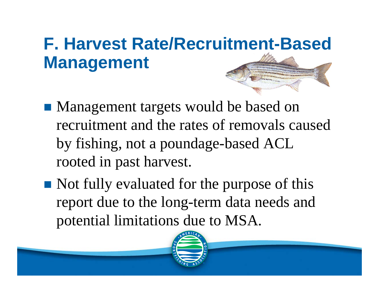# **F. Harvest Rate/Recruitment-Based Management**

- Management targets would be based on recruitment and the rates of removals caused by fishing, not a poundage-based ACL rooted in past harvest.
- Not fully evaluated for the purpose of this report due to the long-term data needs and potential limitations due to MSA.

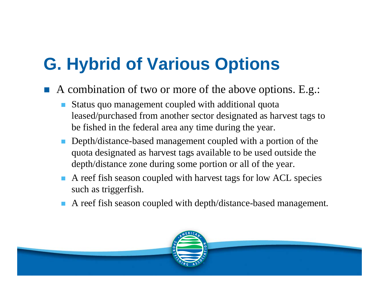# **G. Hybrid of Various Options**

- T. A combination of two or more of the above options. E.g.:
	- Г Status quo management coupled with additional quota leased/purchased from another sector designated as harvest tags to be fished in the federal area any time during the year.
	- F Depth/distance-based management coupled with a portion of the quota designated as harvest tags available to be used outside the depth/distance zone during some portion or all of the year.
	- Г A reef fish season coupled with harvest tags for low ACL species such as triggerfish.
	- Г A reef fish season coupled with depth/distance-based management.